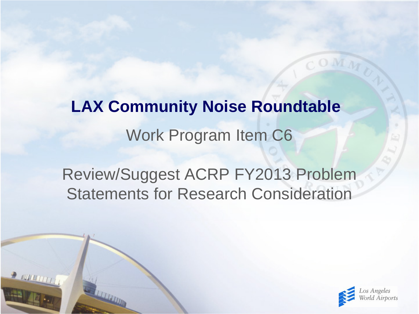Work Program Item C6 **LAX Community Noise Roundtable**

Review/Suggest ACRP FY2013 Problem Statements for Research Consideration

2 EUROLIT

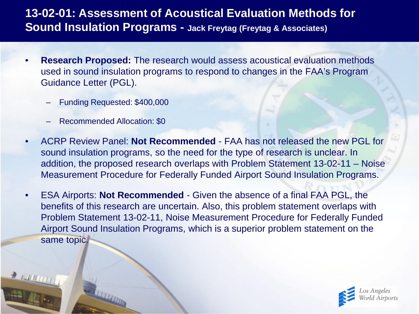### **13-02-01: Assessment of Acoustical Evaluation Methods for Sound Insulation Programs - Jack Freytag (Freytag & Associates)**

- **Research Proposed:** The research would assess acoustical evaluation methods used in sound insulation programs to respond to changes in the FAA's Program Guidance Letter (PGL).
	- Funding Requested: \$400,000
	- Recommended Allocation: \$0
- ACRP Review Panel: **Not Recommended**  FAA has not released the new PGL for sound insulation programs, so the need for the type of research is unclear. In addition, the proposed research overlaps with Problem Statement 13-02-11 – Noise Measurement Procedure for Federally Funded Airport Sound Insulation Programs.
- ESA Airports: **Not Recommended**  Given the absence of a final FAA PGL, the benefits of this research are uncertain. Also, this problem statement overlaps with Problem Statement 13-02-11, Noise Measurement Procedure for Federally Funded Airport Sound Insulation Programs, which is a superior problem statement on the same topic.

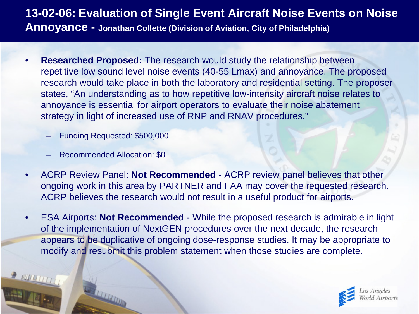## **13-02-06: Evaluation of Single Event Aircraft Noise Events on Noise Annoyance - Jonathan Collette (Division of Aviation, City of Philadelphia)**

- **Researched Proposed:** The research would study the relationship between repetitive low sound level noise events (40-55 Lmax) and annoyance. The proposed research would take place in both the laboratory and residential setting. The proposer states, "An understanding as to how repetitive low-intensity aircraft noise relates to annoyance is essential for airport operators to evaluate their noise abatement strategy in light of increased use of RNP and RNAV procedures."
	- Funding Requested: \$500,000
	- Recommended Allocation: \$0
- ACRP Review Panel: **Not Recommended**  ACRP review panel believes that other ongoing work in this area by PARTNER and FAA may cover the requested research. ACRP believes the research would not result in a useful product for airports.
- ESA Airports: **Not Recommended**  While the proposed research is admirable in light of the implementation of NextGEN procedures over the next decade, the research appears to be duplicative of ongoing dose-response studies. It may be appropriate to modify and resubmit this problem statement when those studies are complete.

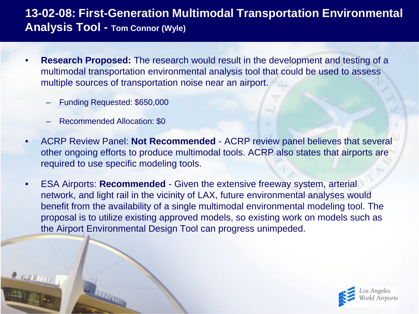## **13-02-08: First-Generation Multimodal Transportation Environmental Analysis Tool - Tom Connor (Wyle)**

- **Research Proposed:** The research would result in the development and testing of a multimodal transportation environmental analysis tool that could be used to assess multiple sources of transportation noise near an airport.
	- Funding Requested: \$650,000
	- Recommended Allocation: \$0
- ACRP Review Panel: **Not Recommended**  ACRP review panel believes that several other ongoing efforts to produce multimodal tools. ACRP also states that airports are required to use specific modeling tools.
- ESA Airports: **Recommended** Given the extensive freeway system, arterial network, and light rail in the vicinity of LAX, future environmental analyses would benefit from the availability of a single multimodal environmental modeling tool. The proposal is to utilize existing approved models, so existing work on models such as the Airport Environmental Design Tool can progress unimpeded.

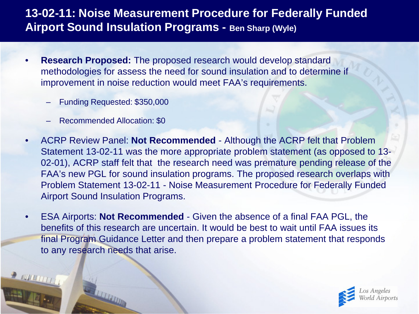### **13-02-11: Noise Measurement Procedure for Federally Funded Airport Sound Insulation Programs - Ben Sharp (Wyle)**

- **Research Proposed:** The proposed research would develop standard methodologies for assess the need for sound insulation and to determine if improvement in noise reduction would meet FAA's requirements.
	- Funding Requested: \$350,000
	- Recommended Allocation: \$0
- ACRP Review Panel: **Not Recommended**  Although the ACRP felt that Problem Statement 13-02-11 was the more appropriate problem statement (as opposed to 13- 02-01), ACRP staff felt that the research need was premature pending release of the FAA's new PGL for sound insulation programs. The proposed research overlaps with Problem Statement 13-02-11 - Noise Measurement Procedure for Federally Funded Airport Sound Insulation Programs.
- ESA Airports: **Not Recommended**  Given the absence of a final FAA PGL, the benefits of this research are uncertain. It would be best to wait until FAA issues its final Program Guidance Letter and then prepare a problem statement that responds to any research needs that arise.